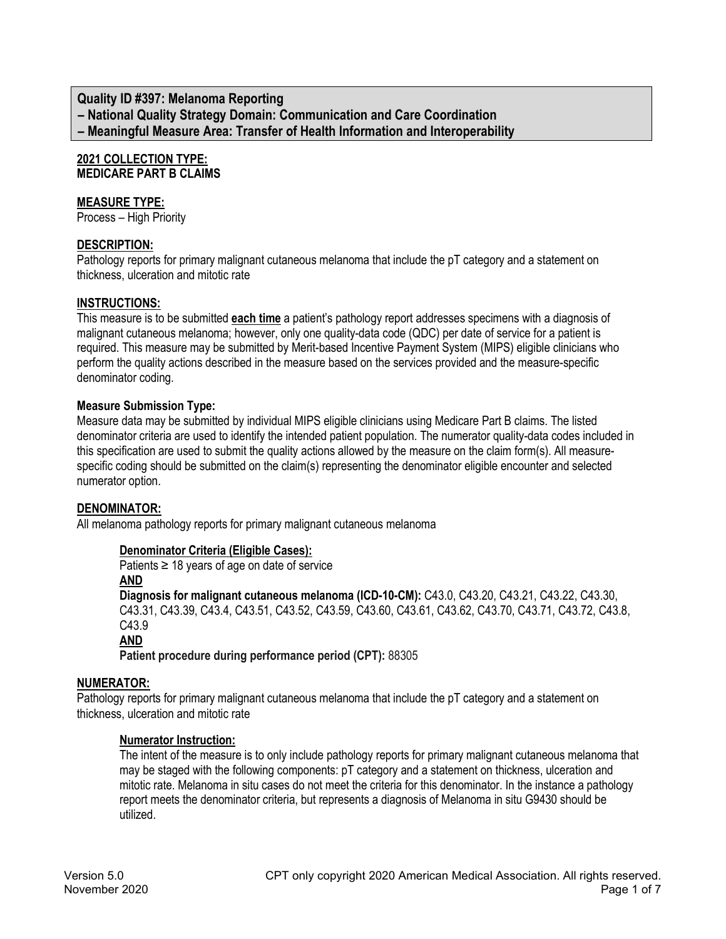**Quality ID #397: Melanoma Reporting – National Quality Strategy Domain: Communication and Care Coordination – Meaningful Measure Area: Transfer of Health Information and Interoperability**

#### **2021 COLLECTION TYPE: MEDICARE PART B CLAIMS**

# **MEASURE TYPE:**

Process – High Priority

# **DESCRIPTION:**

Pathology reports for primary malignant cutaneous melanoma that include the pT category and a statement on thickness, ulceration and mitotic rate

# **INSTRUCTIONS:**

This measure is to be submitted **each time** a patient's pathology report addresses specimens with a diagnosis of malignant cutaneous melanoma; however, only one quality-data code (QDC) per date of service for a patient is required. This measure may be submitted by Merit-based Incentive Payment System (MIPS) eligible clinicians who perform the quality actions described in the measure based on the services provided and the measure-specific denominator coding.

# **Measure Submission Type:**

Measure data may be submitted by individual MIPS eligible clinicians using Medicare Part B claims. The listed denominator criteria are used to identify the intended patient population. The numerator quality-data codes included in this specification are used to submit the quality actions allowed by the measure on the claim form(s). All measurespecific coding should be submitted on the claim(s) representing the denominator eligible encounter and selected numerator option.

# **DENOMINATOR:**

All melanoma pathology reports for primary malignant cutaneous melanoma

# **Denominator Criteria (Eligible Cases):**

Patients  $\geq$  18 years of age on date of service

**AND**

**Diagnosis for malignant cutaneous melanoma (ICD-10-CM):** C43.0, C43.20, C43.21, C43.22, C43.30, C43.31, C43.39, C43.4, C43.51, C43.52, C43.59, C43.60, C43.61, C43.62, C43.70, C43.71, C43.72, C43.8, C43.9

**AND**

**Patient procedure during performance period (CPT):** 88305

# **NUMERATOR:**

Pathology reports for primary malignant cutaneous melanoma that include the pT category and a statement on thickness, ulceration and mitotic rate

# **Numerator Instruction:**

The intent of the measure is to only include pathology reports for primary malignant cutaneous melanoma that may be staged with the following components: pT category and a statement on thickness, ulceration and mitotic rate. Melanoma in situ cases do not meet the criteria for this denominator. In the instance a pathology report meets the denominator criteria, but represents a diagnosis of Melanoma in situ G9430 should be utilized.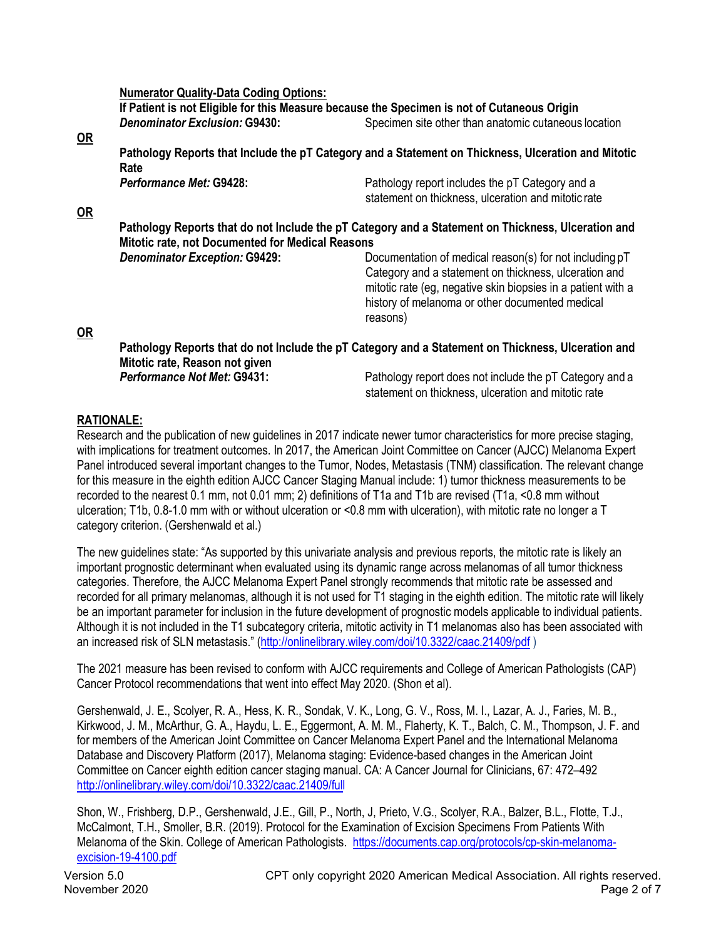**Numerator Quality-Data Coding Options:**

**If Patient is not Eligible for this Measure because the Specimen is not of Cutaneous Origin Denominator Exclusion: G9430:** Specimen site other than anatomic cutaneous location

#### **OR**

**OR**

**Pathology Reports that Include the pT Category and a Statement on Thickness, Ulceration and Mitotic Rate** *Performance Met:* **G9428:** Pathology report includes the pT Category and a

| Periormance Met. 63426.                                 | Patriology report includes the pT Category and a<br>statement on thickness, ulceration and mitotic rate |
|---------------------------------------------------------|---------------------------------------------------------------------------------------------------------|
| <b>Mitotic rate, not Documented for Medical Reasons</b> | Pathology Reports that do not Include the pT Category and a Statement on Thickness, Ulceration and      |

**Denominator Exception: G9429:** Documentation of medical reason(s) for not including  $pT$ Category and a statement on thickness, ulceration and mitotic rate (eg, negative skin biopsies in a patient with a history of melanoma or other documented medical reasons)

# **OR**

**Pathology Reports that do not Include the pT Category and a Statement on Thickness, Ulceration and Mitotic rate, Reason not given Performance Not Met: G9431:** Pathology report does not include the pT Category and a

statement on thickness, ulceration and mitotic rate

# **RATIONALE:**

Research and the publication of new guidelines in 2017 indicate newer tumor characteristics for more precise staging, with implications for treatment outcomes. In 2017, the American Joint Committee on Cancer (AJCC) Melanoma Expert Panel introduced several important changes to the Tumor, Nodes, Metastasis (TNM) classification. The relevant change for this measure in the eighth edition AJCC Cancer Staging Manual include: 1) tumor thickness measurements to be recorded to the nearest 0.1 mm, not 0.01 mm; 2) definitions of T1a and T1b are revised (T1a, <0.8 mm without ulceration; T1b, 0.8-1.0 mm with or without ulceration or <0.8 mm with ulceration), with mitotic rate no longer a T category criterion. (Gershenwald et al.)

The new guidelines state: "As supported by this univariate analysis and previous reports, the mitotic rate is likely an important prognostic determinant when evaluated using its dynamic range across melanomas of all tumor thickness categories. Therefore, the AJCC Melanoma Expert Panel strongly recommends that mitotic rate be assessed and recorded for all primary melanomas, although it is not used for T1 staging in the eighth edition. The mitotic rate will likely be an important parameter for inclusion in the future development of prognostic models applicable to individual patients. Although it is not included in the T1 subcategory criteria, mitotic activity in T1 melanomas also has been associated with an increased risk of SLN metastasis." (<http://onlinelibrary.wiley.com/doi/10.3322/caac.21409/pdf> )

The 2021 measure has been revised to conform with AJCC requirements and College of American Pathologists (CAP) Cancer Protocol recommendations that went into effect May 2020. (Shon et al).

Gershenwald, J. E., Scolyer, R. A., Hess, K. R., Sondak, V. K., Long, G. V., Ross, M. I., Lazar, A. J., Faries, M. B., Kirkwood, J. M., McArthur, G. A., Haydu, L. E., Eggermont, A. M. M., Flaherty, K. T., Balch, C. M., Thompson, J. F. and for members of the American Joint Committee on Cancer Melanoma Expert Panel and the International Melanoma Database and Discovery Platform (2017), Melanoma staging: Evidence-based changes in the American Joint Committee on Cancer eighth edition cancer staging manual. CA: A Cancer Journal for Clinicians, 67: 472–492 [http://onlinelibrary.wiley.com/doi/10.3322/caac.21409/ful](http://onlinelibrary.wiley.com/doi/10.3322/caac.21409/full)l

Shon, W., Frishberg, D.P., Gershenwald, J.E., Gill, P., North, J, Prieto, V.G., Scolyer, R.A., Balzer, B.L., Flotte, T.J., McCalmont, T.H., Smoller, B.R. (2019). Protocol for the Examination of Excision Specimens From Patients With Melanoma of the Skin. College of American Pathologists. [https://documents.cap.org/protocols/cp-skin-melanoma](https://documents.cap.org/protocols/cp-skin-melanoma-excision-19-4100.pdf)[excision-](https://documents.cap.org/protocols/cp-skin-melanoma-excision-19-4100.pdf)19-4100.pdf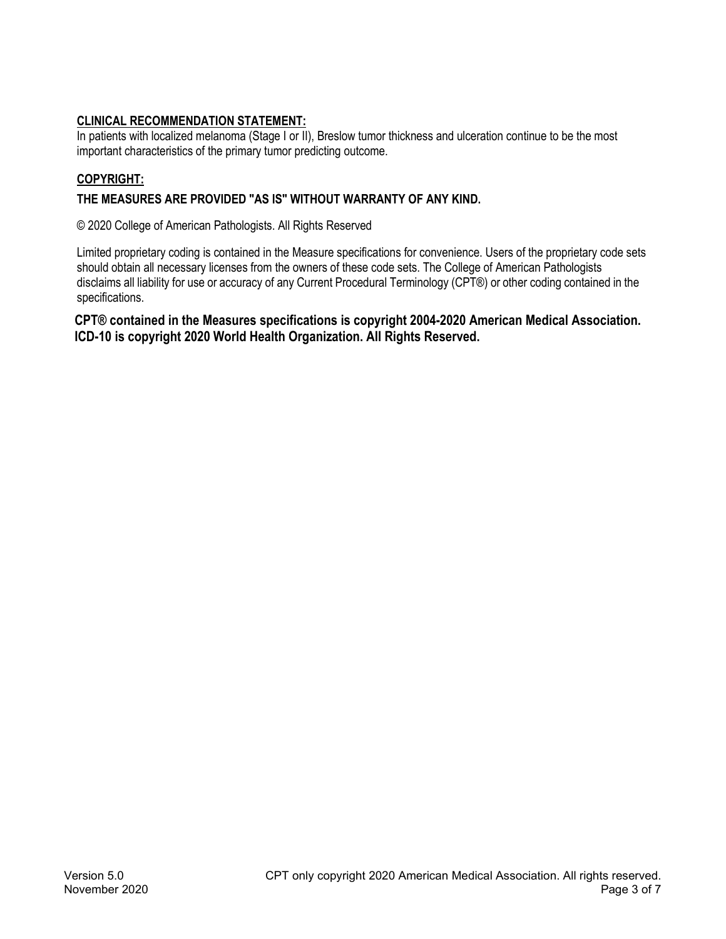# **CLINICAL RECOMMENDATION STATEMENT:**

In patients with localized melanoma (Stage I or II), Breslow tumor thickness and ulceration continue to be the most important characteristics of the primary tumor predicting outcome.

# **COPYRIGHT:**

# **THE MEASURES ARE PROVIDED "AS IS" WITHOUT WARRANTY OF ANY KIND.**

© 2020 College of American Pathologists. All Rights Reserved

Limited proprietary coding is contained in the Measure specifications for convenience. Users of the proprietary code sets should obtain all necessary licenses from the owners of these code sets. The College of American Pathologists disclaims all liability for use or accuracy of any Current Procedural Terminology (CPT®) or other coding contained in the specifications.

**CPT® contained in the Measures specifications is copyright 2004-2020 American Medical Association. ICD-10 is copyright 2020 World Health Organization. All Rights Reserved.**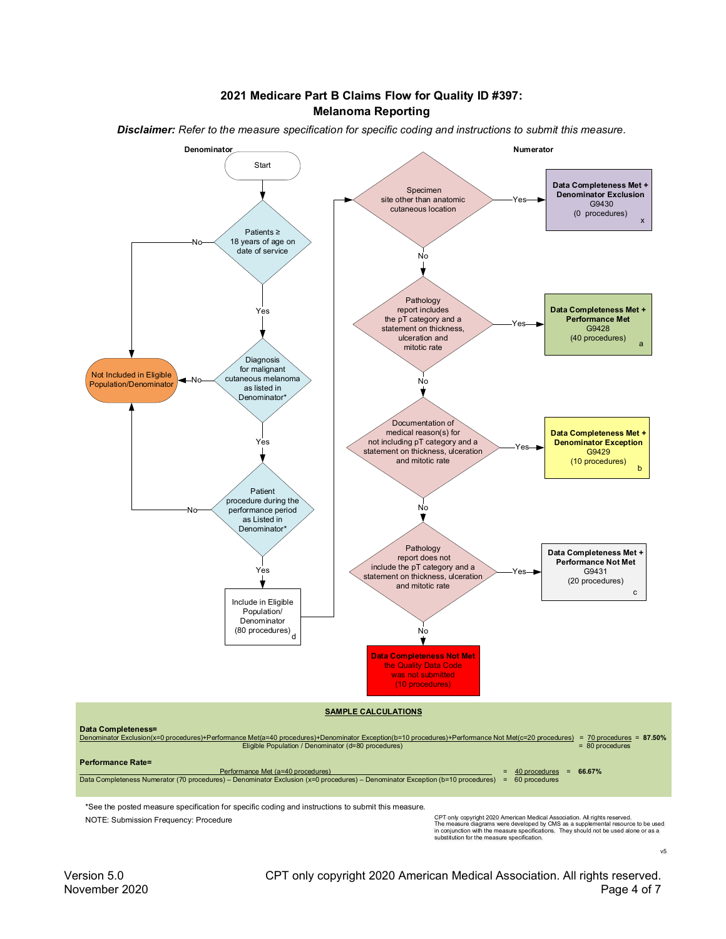#### **2021 Medicare Part B Claims Flow for Quality ID #397: Melanoma Reporting**



*Disclaimer: Refer to the measure specification for specific coding and instructions to submit this measure.*

NOTE: Submission Frequency: Procedure

CPT only copyright 2020 American Medical Association. All rights reserved.<br>The measure diagrams were developed by CMS as a supplemental resource to be used<br>in conjunction with the measure specifications. They should not be

 $\sqrt{5}$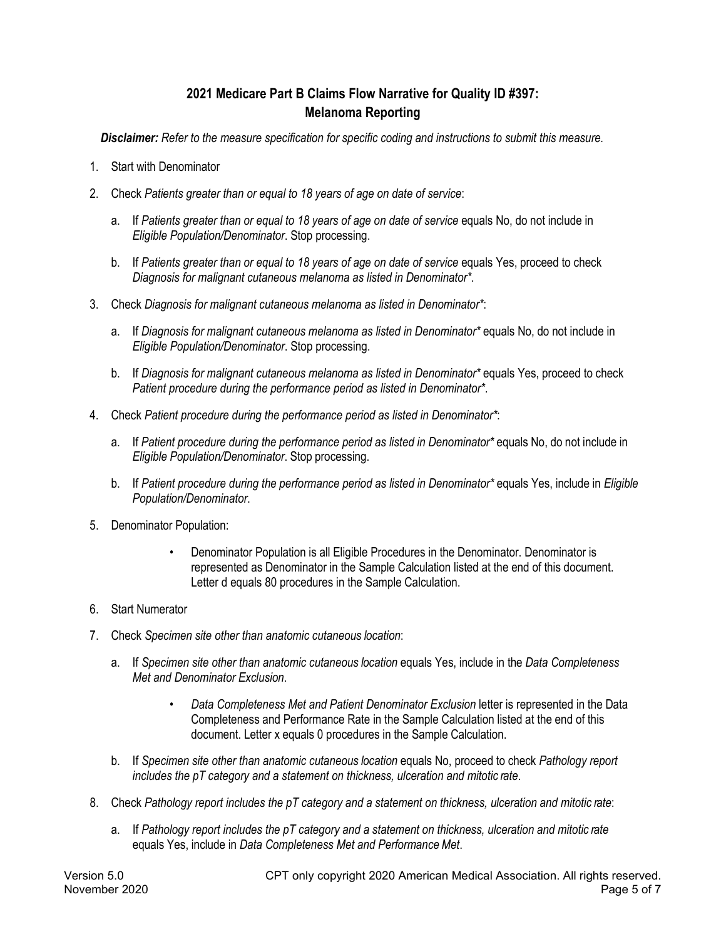# **2021 Medicare Part B Claims Flow Narrative for Quality ID #397: Melanoma Reporting**

*Disclaimer: Refer to the measure specification for specific coding and instructions to submit this measure.*

- 1. Start with Denominator
- 2. Check *Patients greater than or equal to 18 years of age on date of service*:
	- a. If *Patients greater than or equal to 18 years of age on date of service* equals No, do not include in *Eligible Population/Denominator*. Stop processing.
	- b. If *Patients greater than or equal to 18 years of age on date of service equals Yes, proceed to check Diagnosis for malignant cutaneous melanoma as listed in Denominator\**.
- 3. Check *Diagnosis for malignant cutaneous melanoma as listed in Denominator\**:
	- a. If *Diagnosis for malignant cutaneous melanoma as listed in Denominator\** equals No, do not include in *Eligible Population/Denominator*. Stop processing.
	- b. If *Diagnosis for malignant cutaneous melanoma as listed in Denominator\** equals Yes, proceed to check *Patient procedure during the performance period as listed in Denominator\**.
- 4. Check *Patient procedure during the performance period as listed in Denominator\**:
	- a. If *Patient procedure during the performance period as listed in Denominator\** equals No, do not include in *Eligible Population/Denominator*. Stop processing.
	- b. If *Patient procedure during the performance period as listed in Denominator\** equals Yes, include in *Eligible Population/Denominator*.
- 5. Denominator Population:
	- Denominator Population is all Eligible Procedures in the Denominator. Denominator is represented as Denominator in the Sample Calculation listed at the end of this document. Letter d equals 80 procedures in the Sample Calculation.
- 6. Start Numerator
- 7. Check *Specimen site other than anatomic cutaneous location*:
	- a. If *Specimen site other than anatomic cutaneous location* equals Yes, include in the *Data Completeness Met and Denominator Exclusion*.
		- *Data Completeness Met and Patient Denominator Exclusion* letter is represented in the Data Completeness and Performance Rate in the Sample Calculation listed at the end of this document. Letter x equals 0 procedures in the Sample Calculation.
	- b. If *Specimen site other than anatomic cutaneous location* equals No, proceed to check *Pathology report includes the pT category and a statement on thickness, ulceration and mitotic rate*.
- 8. Check *Pathology report includes the pT category and a statement on thickness, ulceration and mitotic rate*:
	- a. If *Pathology report includes the pT category and a statement on thickness, ulceration and mitotic rate* equals Yes, include in *Data Completeness Met and Performance Met*.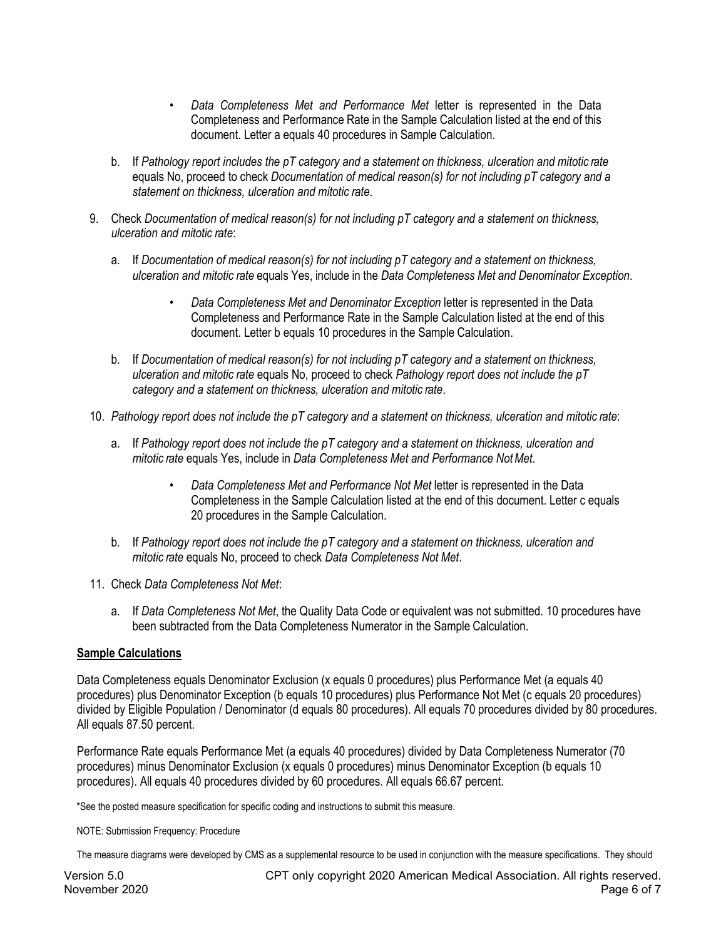- *Data Completeness Met and Performance Met* letter is represented in the Data Completeness and Performance Rate in the Sample Calculation listed at the end of this document. Letter a equals 40 procedures in Sample Calculation.
- b. If *Pathology report includes the pT category and a statement on thickness, ulceration and mitotic rate* equals No, proceed to check *Documentation of medical reason(s) for not including pT category and a statement on thickness, ulceration and mitotic rate*.
- 9. Check *Documentation of medical reason(s) for not including pT category and a statement on thickness, ulceration and mitotic rate*:
	- a. If *Documentation of medical reason(s) for not including pT category and a statement on thickness, ulceration and mitotic rate* equals Yes, include in the *Data Completeness Met and Denominator Exception*.
		- *Data Completeness Met and Denominator Exception* letter is represented in the Data Completeness and Performance Rate in the Sample Calculation listed at the end of this document. Letter b equals 10 procedures in the Sample Calculation.
	- b. If *Documentation of medical reason(s) for not including pT category and a statement on thickness, ulceration and mitotic rate* equals No, proceed to check *Pathology report does not include the pT category and a statement on thickness, ulceration and mitotic rate*.
- 10. *Pathology report does not include the pT category and a statement on thickness, ulceration and mitotic rate*:
	- a. If *Pathology report does not include the pT category and a statement on thickness, ulceration and mitotic rate* equals Yes, include in *Data Completeness Met and Performance NotMet*.
		- *Data Completeness Met and Performance Not Met* letter is represented in the Data Completeness in the Sample Calculation listed at the end of this document. Letter c equals 20 procedures in the Sample Calculation.
	- b. If *Pathology report does not include the pT category and a statement on thickness, ulceration and mitotic rate* equals No, proceed to check *Data Completeness Not Met*.
- 11. Check *Data Completeness Not Met*:
	- a. If *Data Completeness Not Met*, the Quality Data Code or equivalent was not submitted. 10 procedures have been subtracted from the Data Completeness Numerator in the Sample Calculation.

# **Sample Calculations**

Data Completeness equals Denominator Exclusion (x equals 0 procedures) plus Performance Met (a equals 40 procedures) plus Denominator Exception (b equals 10 procedures) plus Performance Not Met (c equals 20 procedures) divided by Eligible Population / Denominator (d equals 80 procedures). All equals 70 procedures divided by 80 procedures. All equals 87.50 percent.

Performance Rate equals Performance Met (a equals 40 procedures) divided by Data Completeness Numerator (70 procedures) minus Denominator Exclusion (x equals 0 procedures) minus Denominator Exception (b equals 10 procedures). All equals 40 procedures divided by 60 procedures. All equals 66.67 percent.

\*See the posted measure specification for specific coding and instructions to submit this measure.

#### NOTE: Submission Frequency: Procedure

The measure diagrams were developed by CMS as a supplemental resource to be used in conjunction with the measure specifications. They should